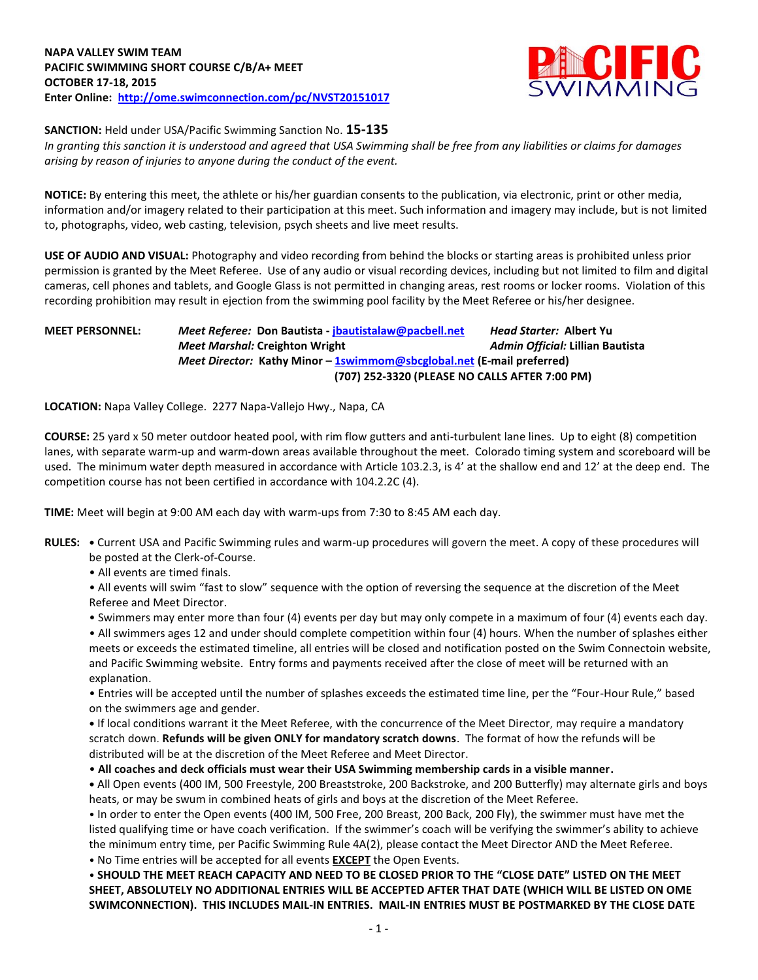

**SANCTION:** Held under USA/Pacific Swimming Sanction No. **15-135**

*In granting this sanction it is understood and agreed that USA Swimming shall be free from any liabilities or claims for damages arising by reason of injuries to anyone during the conduct of the event.*

**NOTICE:** By entering this meet, the athlete or his/her guardian consents to the publication, via electronic, print or other media, information and/or imagery related to their participation at this meet. Such information and imagery may include, but is not limited to, photographs, video, web casting, television, psych sheets and live meet results.

**USE OF AUDIO AND VISUAL:** Photography and video recording from behind the blocks or starting areas is prohibited unless prior permission is granted by the Meet Referee. Use of any audio or visual recording devices, including but not limited to film and digital cameras, cell phones and tablets, and Google Glass is not permitted in changing areas, rest rooms or locker rooms. Violation of this recording prohibition may result in ejection from the swimming pool facility by the Meet Referee or his/her designee.

## **MEET PERSONNEL:** *Meet Referee:* **Don Bautista - [jbautistalaw@pacbell.net](mailto:jbautistalaw@pacbell.net)** *Head Starter:* **Albert Yu** *Meet Marshal:* **Creighton Wright** *Admin Official:* **Lillian Bautista** *Meet Director:* **Kathy Minor - [1swimmom@sbcglobal.net](mailto:1swimmom@sbcglobal.net) (E-mail preferred) (707) 252-3320 (PLEASE NO CALLS AFTER 7:00 PM)**

**LOCATION:** Napa Valley College. 2277 Napa-Vallejo Hwy., Napa, CA

**COURSE:** 25 yard x 50 meter outdoor heated pool, with rim flow gutters and anti-turbulent lane lines. Up to eight (8) competition lanes, with separate warm-up and warm-down areas available throughout the meet. Colorado timing system and scoreboard will be used. The minimum water depth measured in accordance with Article 103.2.3, is 4' at the shallow end and 12' at the deep end. The competition course has not been certified in accordance with 104.2.2C (4).

**TIME:** Meet will begin at 9:00 AM each day with warm-ups from 7:30 to 8:45 AM each day.

**RULES: •** Current USA and Pacific Swimming rules and warm-up procedures will govern the meet. A copy of these procedures will be posted at the Clerk-of-Course.

• All events are timed finals.

• All events will swim "fast to slow" sequence with the option of reversing the sequence at the discretion of the Meet Referee and Meet Director.

• Swimmers may enter more than four (4) events per day but may only compete in a maximum of four (4) events each day.

• All swimmers ages 12 and under should complete competition within four (4) hours. When the number of splashes either meets or exceeds the estimated timeline, all entries will be closed and notification posted on the Swim Connectoin website, and Pacific Swimming website. Entry forms and payments received after the close of meet will be returned with an explanation.

• Entries will be accepted until the number of splashes exceeds the estimated time line, per the "Four-Hour Rule," based on the swimmers age and gender.

**•** If local conditions warrant it the Meet Referee, with the concurrence of the Meet Director, may require a mandatory scratch down. **Refunds will be given ONLY for mandatory scratch downs**. The format of how the refunds will be distributed will be at the discretion of the Meet Referee and Meet Director.

• **All coaches and deck officials must wear their USA Swimming membership cards in a visible manner.** 

**•** All Open events (400 IM, 500 Freestyle, 200 Breaststroke, 200 Backstroke, and 200 Butterfly) may alternate girls and boys heats, or may be swum in combined heats of girls and boys at the discretion of the Meet Referee.

• In order to enter the Open events (400 IM, 500 Free, 200 Breast, 200 Back, 200 Fly), the swimmer must have met the listed qualifying time or have coach verification. If the swimmer's coach will be verifying the swimmer's ability to achieve the minimum entry time, per Pacific Swimming Rule 4A(2), please contact the Meet Director AND the Meet Referee. • No Time entries will be accepted for all events **EXCEPT** the Open Events.

• **SHOULD THE MEET REACH CAPACITY AND NEED TO BE CLOSED PRIOR TO THE "CLOSE DATE" LISTED ON THE MEET SHEET, ABSOLUTELY NO ADDITIONAL ENTRIES WILL BE ACCEPTED AFTER THAT DATE (WHICH WILL BE LISTED ON OME SWIMCONNECTION). THIS INCLUDES MAIL-IN ENTRIES. MAIL-IN ENTRIES MUST BE POSTMARKED BY THE CLOSE DATE**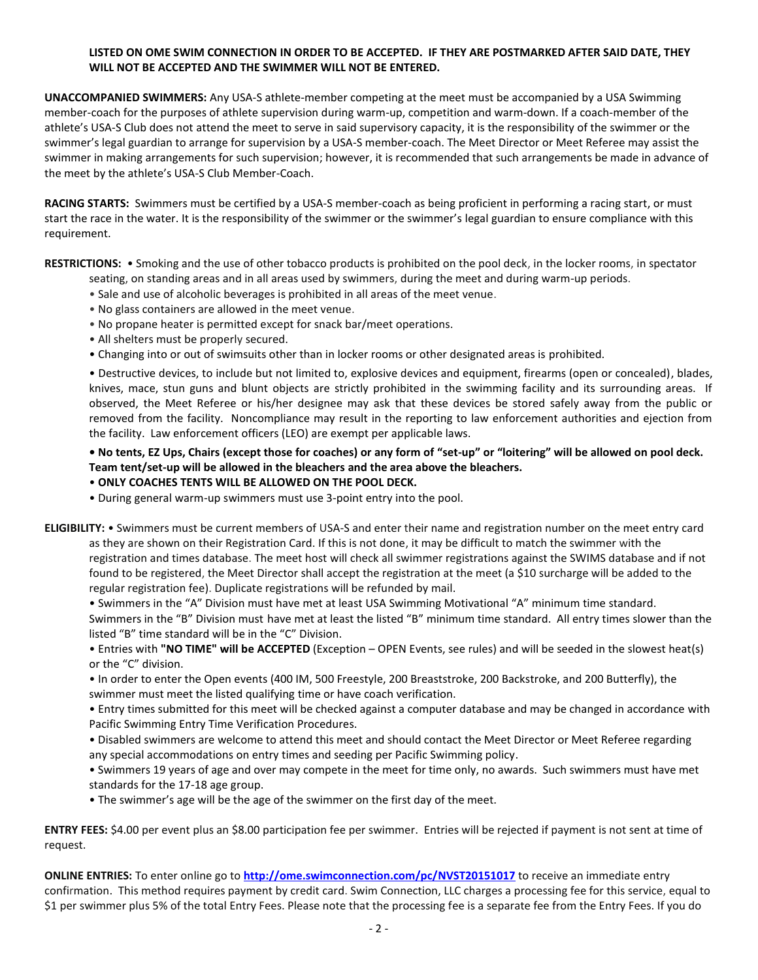### **LISTED ON OME SWIM CONNECTION IN ORDER TO BE ACCEPTED. IF THEY ARE POSTMARKED AFTER SAID DATE, THEY WILL NOT BE ACCEPTED AND THE SWIMMER WILL NOT BE ENTERED.**

**UNACCOMPANIED SWIMMERS:** Any USA-S athlete-member competing at the meet must be accompanied by a USA Swimming member-coach for the purposes of athlete supervision during warm-up, competition and warm-down. If a coach-member of the athlete's USA-S Club does not attend the meet to serve in said supervisory capacity, it is the responsibility of the swimmer or the swimmer's legal guardian to arrange for supervision by a USA-S member-coach. The Meet Director or Meet Referee may assist the swimmer in making arrangements for such supervision; however, it is recommended that such arrangements be made in advance of the meet by the athlete's USA-S Club Member-Coach.

**RACING STARTS:** Swimmers must be certified by a USA-S member-coach as being proficient in performing a racing start, or must start the race in the water. It is the responsibility of the swimmer or the swimmer's legal guardian to ensure compliance with this requirement.

**RESTRICTIONS:** • Smoking and the use of other tobacco products is prohibited on the pool deck, in the locker rooms, in spectator

- seating, on standing areas and in all areas used by swimmers, during the meet and during warm-up periods.
- Sale and use of alcoholic beverages is prohibited in all areas of the meet venue.
- No glass containers are allowed in the meet venue.
- No propane heater is permitted except for snack bar/meet operations.
- All shelters must be properly secured.
- Changing into or out of swimsuits other than in locker rooms or other designated areas is prohibited.

• Destructive devices, to include but not limited to, explosive devices and equipment, firearms (open or concealed), blades, knives, mace, stun guns and blunt objects are strictly prohibited in the swimming facility and its surrounding areas. If observed, the Meet Referee or his/her designee may ask that these devices be stored safely away from the public or removed from the facility. Noncompliance may result in the reporting to law enforcement authorities and ejection from the facility. Law enforcement officers (LEO) are exempt per applicable laws.

# **• No tents, EZ Ups, Chairs (except those for coaches) or any form of "set-up" or "loitering" will be allowed on pool deck. Team tent/set-up will be allowed in the bleachers and the area above the bleachers.**

# • **ONLY COACHES TENTS WILL BE ALLOWED ON THE POOL DECK.**

- During general warm-up swimmers must use 3-point entry into the pool.
- **ELIGIBILITY:** Swimmers must be current members of USA-S and enter their name and registration number on the meet entry card as they are shown on their Registration Card. If this is not done, it may be difficult to match the swimmer with the registration and times database. The meet host will check all swimmer registrations against the SWIMS database and if not found to be registered, the Meet Director shall accept the registration at the meet (a \$10 surcharge will be added to the regular registration fee). Duplicate registrations will be refunded by mail.
	- Swimmers in the "A" Division must have met at least USA Swimming Motivational "A" minimum time standard. Swimmers in the "B" Division must have met at least the listed "B" minimum time standard. All entry times slower than the listed "B" time standard will be in the "C" Division.

• Entries with **"NO TIME" will be ACCEPTED** (Exception – OPEN Events, see rules) and will be seeded in the slowest heat(s) or the "C" division.

• In order to enter the Open events (400 IM, 500 Freestyle, 200 Breaststroke, 200 Backstroke, and 200 Butterfly), the swimmer must meet the listed qualifying time or have coach verification.

• Entry times submitted for this meet will be checked against a computer database and may be changed in accordance with Pacific Swimming Entry Time Verification Procedures.

• Disabled swimmers are welcome to attend this meet and should contact the Meet Director or Meet Referee regarding any special accommodations on entry times and seeding per Pacific Swimming policy.

- Swimmers 19 years of age and over may compete in the meet for time only, no awards. Such swimmers must have met standards for the 17-18 age group.
- The swimmer's age will be the age of the swimmer on the first day of the meet.

**ENTRY FEES:** \$4.00 per event plus an \$8.00 participation fee per swimmer. Entries will be rejected if payment is not sent at time of request.

**ONLINE ENTRIES:** To enter online go to **<http://ome.swimconnection.com/pc/NVST20151017>** to receive an immediate entry confirmation. This method requires payment by credit card. Swim Connection, LLC charges a processing fee for this service, equal to \$1 per swimmer plus 5% of the total Entry Fees. Please note that the processing fee is a separate fee from the Entry Fees. If you do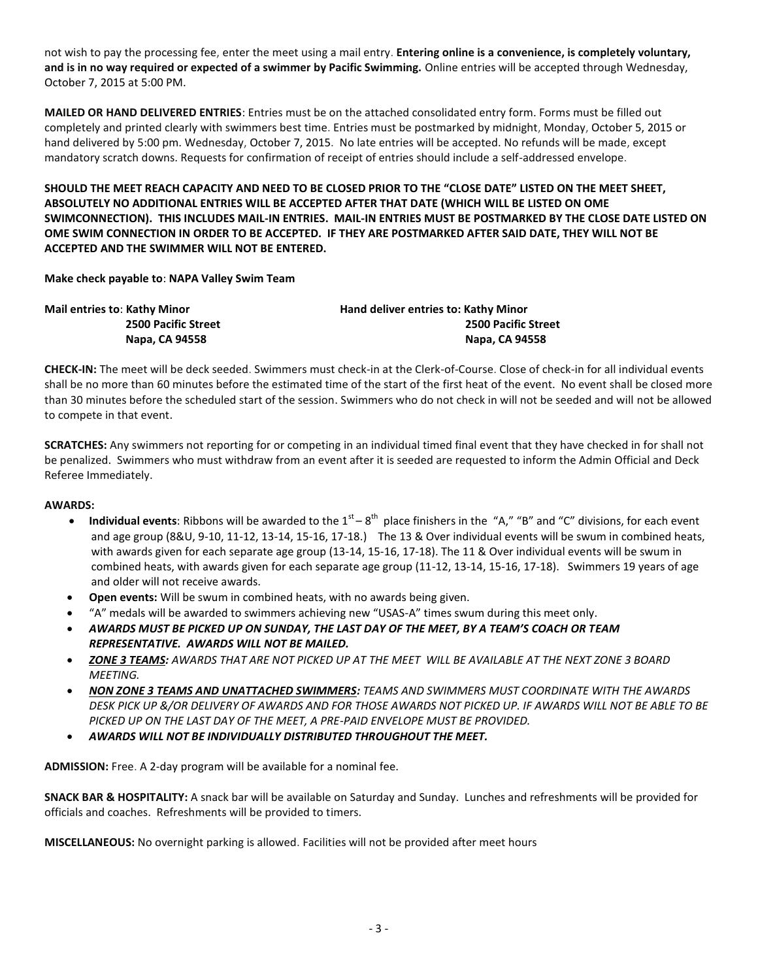not wish to pay the processing fee, enter the meet using a mail entry. **Entering online is a convenience, is completely voluntary, and is in no way required or expected of a swimmer by Pacific Swimming.** Online entries will be accepted through Wednesday, October 7, 2015 at 5:00 PM.

**MAILED OR HAND DELIVERED ENTRIES**: Entries must be on the attached consolidated entry form. Forms must be filled out completely and printed clearly with swimmers best time. Entries must be postmarked by midnight, Monday, October 5, 2015 or hand delivered by 5:00 pm. Wednesday, October 7, 2015. No late entries will be accepted. No refunds will be made, except mandatory scratch downs. Requests for confirmation of receipt of entries should include a self-addressed envelope.

**SHOULD THE MEET REACH CAPACITY AND NEED TO BE CLOSED PRIOR TO THE "CLOSE DATE" LISTED ON THE MEET SHEET, ABSOLUTELY NO ADDITIONAL ENTRIES WILL BE ACCEPTED AFTER THAT DATE (WHICH WILL BE LISTED ON OME SWIMCONNECTION). THIS INCLUDES MAIL-IN ENTRIES. MAIL-IN ENTRIES MUST BE POSTMARKED BY THE CLOSE DATE LISTED ON OME SWIM CONNECTION IN ORDER TO BE ACCEPTED. IF THEY ARE POSTMARKED AFTER SAID DATE, THEY WILL NOT BE ACCEPTED AND THE SWIMMER WILL NOT BE ENTERED.**

**Make check payable to**: **NAPA Valley Swim Team**

| Mail entries to: Kathy Minor | Hand deliver entries to: Kathy Minor |  |  |  |  |  |
|------------------------------|--------------------------------------|--|--|--|--|--|
| <b>2500 Pacific Street</b>   | <b>2500 Pacific Street</b>           |  |  |  |  |  |
| Napa. CA 94558               | Napa, CA 94558                       |  |  |  |  |  |

**CHECK-IN:** The meet will be deck seeded. Swimmers must check-in at the Clerk-of-Course. Close of check-in for all individual events shall be no more than 60 minutes before the estimated time of the start of the first heat of the event. No event shall be closed more than 30 minutes before the scheduled start of the session. Swimmers who do not check in will not be seeded and will not be allowed to compete in that event.

**SCRATCHES:** Any swimmers not reporting for or competing in an individual timed final event that they have checked in for shall not be penalized. Swimmers who must withdraw from an event after it is seeded are requested to inform the Admin Official and Deck Referee Immediately.

#### **AWARDS:**

- Individual events: Ribbons will be awarded to the  $1<sup>st</sup> 8<sup>th</sup>$  place finishers in the "A," "B" and "C" divisions, for each event and age group (8&U, 9-10, 11-12, 13-14, 15-16, 17-18.) The 13 & Over individual events will be swum in combined heats, with awards given for each separate age group (13-14, 15-16, 17-18). The 11 & Over individual events will be swum in combined heats, with awards given for each separate age group (11-12, 13-14, 15-16, 17-18). Swimmers 19 years of age and older will not receive awards.
- **Open events:** Will be swum in combined heats, with no awards being given.
- "A" medals will be awarded to swimmers achieving new "USAS-A" times swum during this meet only.
- *AWARDS MUST BE PICKED UP ON SUNDAY, THE LAST DAY OF THE MEET, BY A TEAM'S COACH OR TEAM REPRESENTATIVE. AWARDS WILL NOT BE MAILED.*
- *ZONE 3 TEAMS: AWARDS THAT ARE NOT PICKED UP AT THE MEET WILL BE AVAILABLE AT THE NEXT ZONE 3 BOARD MEETING.*
- *NON ZONE 3 TEAMS AND UNATTACHED SWIMMERS: TEAMS AND SWIMMERS MUST COORDINATE WITH THE AWARDS DESK PICK UP &/OR DELIVERY OF AWARDS AND FOR THOSE AWARDS NOT PICKED UP. IF AWARDS WILL NOT BE ABLE TO BE PICKED UP ON THE LAST DAY OF THE MEET, A PRE-PAID ENVELOPE MUST BE PROVIDED.*
- *AWARDS WILL NOT BE INDIVIDUALLY DISTRIBUTED THROUGHOUT THE MEET.*

**ADMISSION:** Free. A 2-day program will be available for a nominal fee.

**SNACK BAR & HOSPITALITY:** A snack bar will be available on Saturday and Sunday. Lunches and refreshments will be provided for officials and coaches. Refreshments will be provided to timers.

**MISCELLANEOUS:** No overnight parking is allowed. Facilities will not be provided after meet hours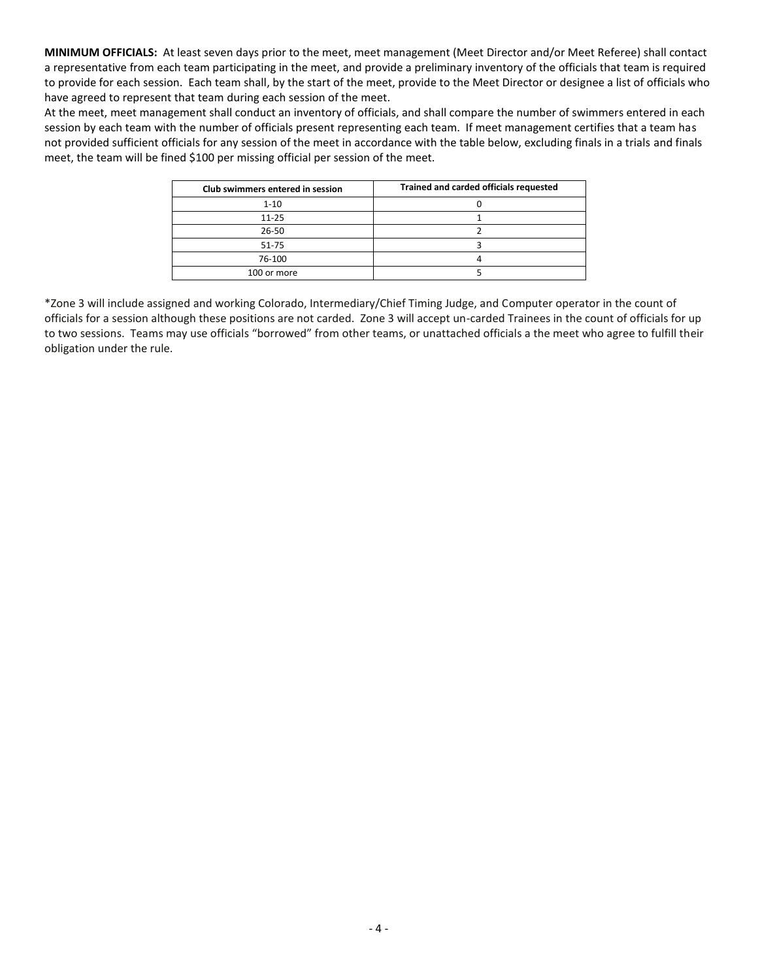**MINIMUM OFFICIALS:** At least seven days prior to the meet, meet management (Meet Director and/or Meet Referee) shall contact a representative from each team participating in the meet, and provide a preliminary inventory of the officials that team is required to provide for each session. Each team shall, by the start of the meet, provide to the Meet Director or designee a list of officials who have agreed to represent that team during each session of the meet.

At the meet, meet management shall conduct an inventory of officials, and shall compare the number of swimmers entered in each session by each team with the number of officials present representing each team. If meet management certifies that a team has not provided sufficient officials for any session of the meet in accordance with the table below, excluding finals in a trials and finals meet, the team will be fined \$100 per missing official per session of the meet.

| Club swimmers entered in session | Trained and carded officials requested |  |  |  |  |  |  |
|----------------------------------|----------------------------------------|--|--|--|--|--|--|
| $1 - 10$                         |                                        |  |  |  |  |  |  |
| $11 - 25$                        |                                        |  |  |  |  |  |  |
| $26 - 50$                        |                                        |  |  |  |  |  |  |
| 51-75                            |                                        |  |  |  |  |  |  |
| 76-100                           |                                        |  |  |  |  |  |  |
| 100 or more                      |                                        |  |  |  |  |  |  |

\*Zone 3 will include assigned and working Colorado, Intermediary/Chief Timing Judge, and Computer operator in the count of officials for a session although these positions are not carded. Zone 3 will accept un-carded Trainees in the count of officials for up to two sessions. Teams may use officials "borrowed" from other teams, or unattached officials a the meet who agree to fulfill their obligation under the rule.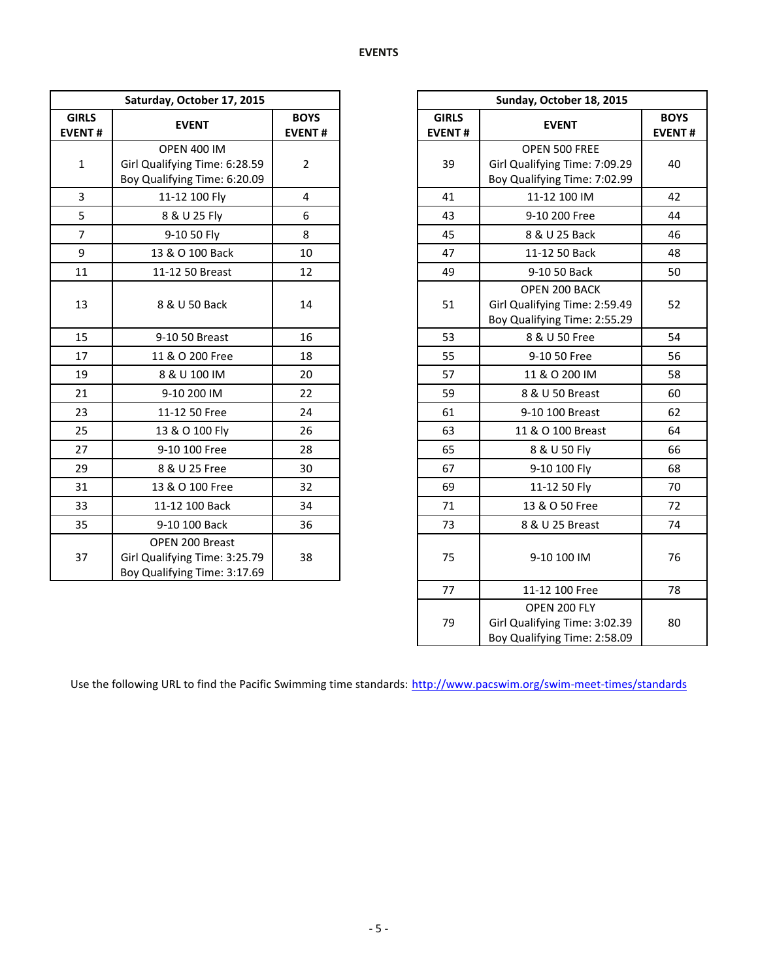| Saturday, October 17, 2015    |                                                                                     |                              |                               | Sunday, October 18, 2015                                                       |                           |  |
|-------------------------------|-------------------------------------------------------------------------------------|------------------------------|-------------------------------|--------------------------------------------------------------------------------|---------------------------|--|
| <b>GIRLS</b><br><b>EVENT#</b> | <b>EVENT</b>                                                                        | <b>BOYS</b><br><b>EVENT#</b> | <b>GIRLS</b><br><b>EVENT#</b> | <b>EVENT</b>                                                                   | <b>BOY</b><br><b>EVEN</b> |  |
| $\mathbf{1}$                  | <b>OPEN 400 IM</b><br>Girl Qualifying Time: 6:28.59<br>Boy Qualifying Time: 6:20.09 | $\overline{2}$               | 39                            | OPEN 500 FREE<br>Girl Qualifying Time: 7:09.29<br>Boy Qualifying Time: 7:02.99 | 40                        |  |
| 3                             | 11-12 100 Fly                                                                       | 4                            | 41                            | 11-12 100 IM                                                                   | 42                        |  |
| 5                             | 8 & U 25 Fly                                                                        | 6                            | 43                            | 9-10 200 Free                                                                  | 44                        |  |
| $\overline{7}$                | 9-10 50 Fly                                                                         | 8                            | 45                            | 8 & U 25 Back                                                                  | 46                        |  |
| 9                             | 13 & O 100 Back                                                                     | 10                           | 47                            | 11-12 50 Back                                                                  | 48                        |  |
| 11                            | 11-12 50 Breast                                                                     | 12                           | 49                            | 9-10 50 Back                                                                   | 50                        |  |
| 13                            | 8 & U 50 Back                                                                       | 14                           | 51                            | OPEN 200 BACK<br>Girl Qualifying Time: 2:59.49<br>Boy Qualifying Time: 2:55.29 | 52                        |  |
| 15                            | 9-10 50 Breast                                                                      | 16                           | 53                            | 8 & U 50 Free                                                                  | 54                        |  |
| 17                            | 11 & O 200 Free                                                                     | 18                           | 55                            | 9-10 50 Free                                                                   | 56                        |  |
| 19                            | 8 & U 100 IM                                                                        | 20                           | 57                            | 11 & O 200 IM                                                                  | 58                        |  |
| 21                            | 9-10 200 IM                                                                         | 22                           | 59                            | 8 & U 50 Breast                                                                | 60                        |  |
| 23                            | 11-12 50 Free                                                                       | 24                           | 61                            | 9-10 100 Breast                                                                | 62                        |  |
| 25                            | 13 & O 100 Fly                                                                      | 26                           | 63                            | 11 & O 100 Breast                                                              | 64                        |  |
| 27                            | 9-10 100 Free                                                                       | 28                           | 65                            | 8 & U 50 Fly                                                                   | 66                        |  |
| 29                            | 8 & U 25 Free                                                                       | 30                           | 67                            | 9-10 100 Fly                                                                   | 68                        |  |
| 31                            | 13 & O 100 Free                                                                     | 32                           | 69                            | 11-12 50 Fly                                                                   | 70                        |  |
| 33                            | 11-12 100 Back                                                                      | 34                           | 71                            | 13 & O 50 Free                                                                 | 72                        |  |
| 35                            | 9-10 100 Back                                                                       | 36                           | 73                            | 8 & U 25 Breast                                                                | 74                        |  |
| 37                            | OPEN 200 Breast<br>Girl Qualifying Time: 3:25.79<br>Boy Qualifying Time: 3:17.69    | 38                           | 75                            | 9-10 100 IM                                                                    | 76                        |  |

|                   | Saturday, October 17, 2015                                                          |                              |  |
|-------------------|-------------------------------------------------------------------------------------|------------------------------|--|
| <b>RLS</b><br>NT# | <b>EVENT</b>                                                                        | <b>BOYS</b><br><b>EVENT#</b> |  |
| $\mathbf 1$       | <b>OPEN 400 IM</b><br>Girl Qualifying Time: 6:28.59<br>Boy Qualifying Time: 6:20.09 | $\overline{2}$               |  |
| 3                 | 11-12 100 Fly                                                                       | $\overline{\mathbf{4}}$      |  |
| $rac{5}{7}$       | 8 & U 25 Fly                                                                        | 6                            |  |
|                   | 9-10 50 Fly                                                                         | 8                            |  |
| $\overline{9}$    | 13 & O 100 Back                                                                     | 10                           |  |
| $\overline{1}$    | 11-12 50 Breast                                                                     | 12                           |  |
| L3                | 8 & U 50 Back                                                                       | 14                           |  |
| L5                | 9-10 50 Breast                                                                      | 16                           |  |
| L7                | 11 & O 200 Free                                                                     | 18                           |  |
| L9                | 8 & U 100 IM                                                                        | 20                           |  |
| $\overline{21}$   | 9-10 200 IM                                                                         | 22                           |  |
| $^{23}$           | 11-12 50 Free                                                                       | 24                           |  |
| 25                | 13 & O 100 Fly                                                                      | 26                           |  |
| 27                | 9-10 100 Free                                                                       | 28                           |  |
| 29                | 8 & U 25 Free                                                                       | 30                           |  |
| $^{31}$           | 13 & O 100 Free                                                                     | 32                           |  |
| 33                | 11-12 100 Back                                                                      | 34                           |  |
| 35 <sub>1</sub>   | 9-10 100 Back                                                                       | 36                           |  |
| 37                | OPEN 200 Breast<br>Girl Qualifying Time: 3:25.79<br>Boy Qualifying Time: 3:17.69    | 38                           |  |
|                   |                                                                                     |                              |  |
|                   |                                                                                     |                              |  |

Use the following URL to find the Pacific Swimming time standards: <http://www.pacswim.org/swim-meet-times/standards>